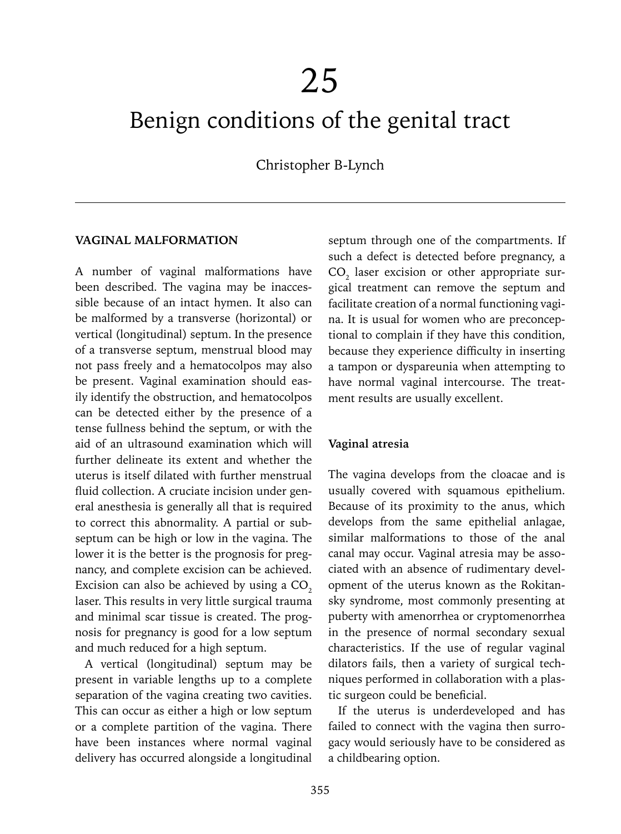# Benign conditions of the genital tract

Christopher B-Lynch

#### **VAGINAL MALFORMATION**

A number of vaginal malformations have been described. The vagina may be inaccessible because of an intact hymen. It also can be malformed by a transverse (horizontal) or vertical (longitudinal) septum. In the presence of a transverse septum, menstrual blood may not pass freely and a hematocolpos may also be present. Vaginal examination should easily identify the obstruction, and hematocolpos can be detected either by the presence of a tense fullness behind the septum, or with the aid of an ultrasound examination which will further delineate its extent and whether the uterus is itself dilated with further menstrual fluid collection. A cruciate incision under general anesthesia is generally all that is required to correct this abnormality. A partial or subseptum can be high or low in the vagina. The lower it is the better is the prognosis for pregnancy, and complete excision can be achieved. Excision can also be achieved by using a  $CO<sub>2</sub>$ laser. This results in very little surgical trauma and minimal scar tissue is created. The prognosis for pregnancy is good for a low septum and much reduced for a high septum.

A vertical (longitudinal) septum may be present in variable lengths up to a complete separation of the vagina creating two cavities. This can occur as either a high or low septum or a complete partition of the vagina. There have been instances where normal vaginal delivery has occurred alongside a longitudinal

septum through one of the compartments. If such a defect is detected before pregnancy, a  $CO<sub>2</sub>$  laser excision or other appropriate surgical treatment can remove the septum and facilitate creation of a normal functioning vagina. It is usual for women who are preconceptional to complain if they have this condition, because they experience difficulty in inserting a tampon or dyspareunia when attempting to have normal vaginal intercourse. The treatment results are usually excellent.

#### **Vaginal atresia**

The vagina develops from the cloacae and is usually covered with squamous epithelium. Because of its proximity to the anus, which develops from the same epithelial anlagae, similar malformations to those of the anal canal may occur. Vaginal atresia may be associated with an absence of rudimentary development of the uterus known as the Rokitansky syndrome, most commonly presenting at puberty with amenorrhea or cryptomenorrhea in the presence of normal secondary sexual characteristics. If the use of regular vaginal dilators fails, then a variety of surgical techniques performed in collaboration with a plastic surgeon could be beneficial.

If the uterus is underdeveloped and has failed to connect with the vagina then surrogacy would seriously have to be considered as a childbearing option.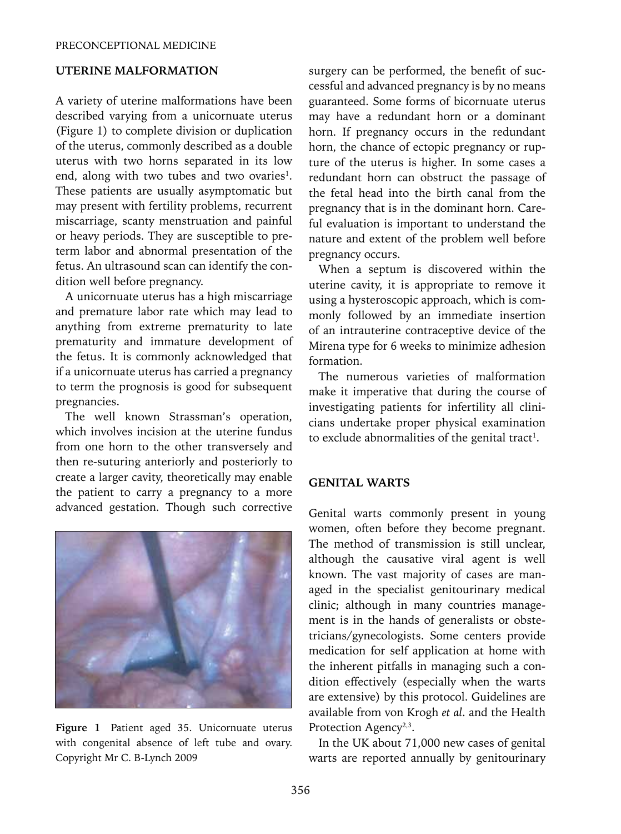## **UTERINE MALFORMATION**

A variety of uterine malformations have been described varying from a unicornuate uterus (Figure 1) to complete division or duplication of the uterus, commonly described as a double uterus with two horns separated in its low end, along with two tubes and two ovaries<sup>1</sup>. These patients are usually asymptomatic but may present with fertility problems, recurrent miscarriage, scanty menstruation and painful or heavy periods. They are susceptible to preterm labor and abnormal presentation of the fetus. An ultrasound scan can identify the condition well before pregnancy.

A unicornuate uterus has a high miscarriage and premature labor rate which may lead to anything from extreme prematurity to late prematurity and immature development of the fetus. It is commonly acknowledged that if a unicornuate uterus has carried a pregnancy to term the prognosis is good for subsequent pregnancies.

The well known Strassman's operation, which involves incision at the uterine fundus from one horn to the other transversely and then re-suturing anteriorly and posteriorly to create a larger cavity, theoretically may enable the patient to carry a pregnancy to a more advanced gestation. Though such corrective



**Figure 1** Patient aged 35. Unicornuate uterus with congenital absence of left tube and ovary. Copyright Mr C. B-Lynch 2009

surgery can be performed, the benefit of successful and advanced pregnancy is by no means guaranteed. Some forms of bicornuate uterus may have a redundant horn or a dominant horn. If pregnancy occurs in the redundant horn, the chance of ectopic pregnancy or rupture of the uterus is higher. In some cases a redundant horn can obstruct the passage of the fetal head into the birth canal from the pregnancy that is in the dominant horn. Careful evaluation is important to understand the nature and extent of the problem well before pregnancy occurs.

When a septum is discovered within the uterine cavity, it is appropriate to remove it using a hysteroscopic approach, which is commonly followed by an immediate insertion of an intrauterine contraceptive device of the Mirena type for 6 weeks to minimize adhesion formation.

The numerous varieties of malformation make it imperative that during the course of investigating patients for infertility all clinicians undertake proper physical examination to exclude abnormalities of the genital tract<sup>1</sup>.

#### **GENITAL WARTS**

Genital warts commonly present in young women, often before they become pregnant. The method of transmission is still unclear, although the causative viral agent is well known. The vast majority of cases are managed in the specialist genitourinary medical clinic; although in many countries management is in the hands of generalists or obstetricians/gynecologists. Some centers provide medication for self application at home with the inherent pitfalls in managing such a condition effectively (especially when the warts are extensive) by this protocol. Guidelines are available from von Krogh *et al*. and the Health Protection Agency<sup>2,3</sup>.

In the UK about 71,000 new cases of genital warts are reported annually by genitourinary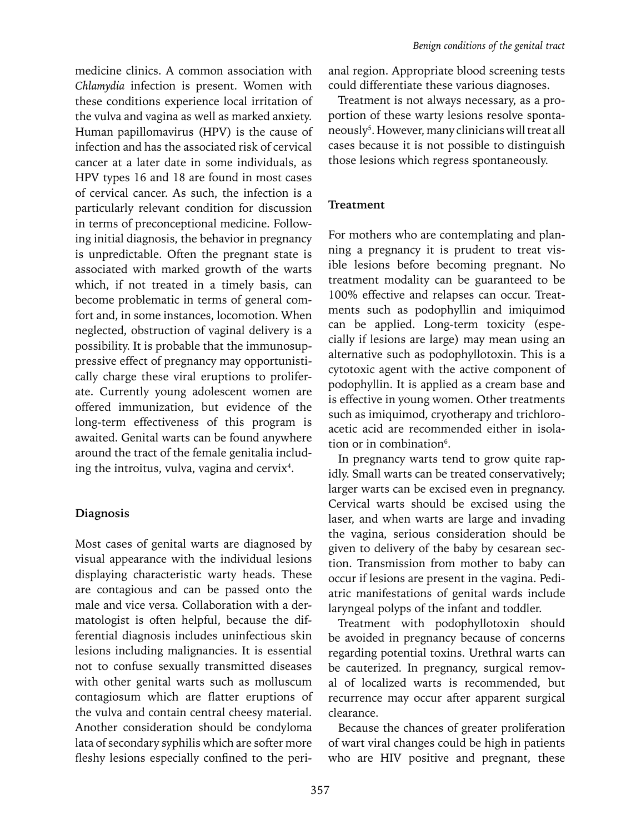medicine clinics. A common association with *Chlamydia* infection is present. Women with these conditions experience local irritation of the vulva and vagina as well as marked anxiety. Human papillomavirus (HPV) is the cause of infection and has the associated risk of cervical cancer at a later date in some individuals, as HPV types 16 and 18 are found in most cases of cervical cancer. As such, the infection is a particularly relevant condition for discussion in terms of preconceptional medicine. Following initial diagnosis, the behavior in pregnancy is unpredictable. Often the pregnant state is associated with marked growth of the warts which, if not treated in a timely basis, can become problematic in terms of general comfort and, in some instances, locomotion. When neglected, obstruction of vaginal delivery is a possibility. It is probable that the immunosuppressive effect of pregnancy may opportunistically charge these viral eruptions to proliferate. Currently young adolescent women are offered immunization, but evidence of the long-term effectiveness of this program is awaited. Genital warts can be found anywhere around the tract of the female genitalia including the introitus, vulva, vagina and cervix<sup>4</sup>.

## **Diagnosis**

Most cases of genital warts are diagnosed by visual appearance with the individual lesions displaying characteristic warty heads. These are contagious and can be passed onto the male and vice versa. Collaboration with a dermatologist is often helpful, because the differential diagnosis includes uninfectious skin lesions including malignancies. It is essential not to confuse sexually transmitted diseases with other genital warts such as molluscum contagiosum which are flatter eruptions of the vulva and contain central cheesy material. Another consideration should be condyloma lata of secondary syphilis which are softer more fleshy lesions especially confined to the perianal region. Appropriate blood screening tests could differentiate these various diagnoses.

Treatment is not always necessary, as a proportion of these warty lesions resolve spontaneously5 . However, many clinicians will treat all cases because it is not possible to distinguish those lesions which regress spontaneously.

## **Treatment**

For mothers who are contemplating and planning a pregnancy it is prudent to treat visible lesions before becoming pregnant. No treatment modality can be guaranteed to be 100% effective and relapses can occur. Treatments such as podophyllin and imiquimod can be applied. Long-term toxicity (especially if lesions are large) may mean using an alternative such as podophyllotoxin. This is a cytotoxic agent with the active component of podophyllin. It is applied as a cream base and is effective in young women. Other treatments such as imiquimod, cryotherapy and trichloroacetic acid are recommended either in isolation or in combination<sup>6</sup>.

In pregnancy warts tend to grow quite rapidly. Small warts can be treated conservatively; larger warts can be excised even in pregnancy. Cervical warts should be excised using the laser, and when warts are large and invading the vagina, serious consideration should be given to delivery of the baby by cesarean section. Transmission from mother to baby can occur if lesions are present in the vagina. Pediatric manifestations of genital wards include laryngeal polyps of the infant and toddler.

Treatment with podophyllotoxin should be avoided in pregnancy because of concerns regarding potential toxins. Urethral warts can be cauterized. In pregnancy, surgical removal of localized warts is recommended, but recurrence may occur after apparent surgical clearance.

Because the chances of greater proliferation of wart viral changes could be high in patients who are HIV positive and pregnant, these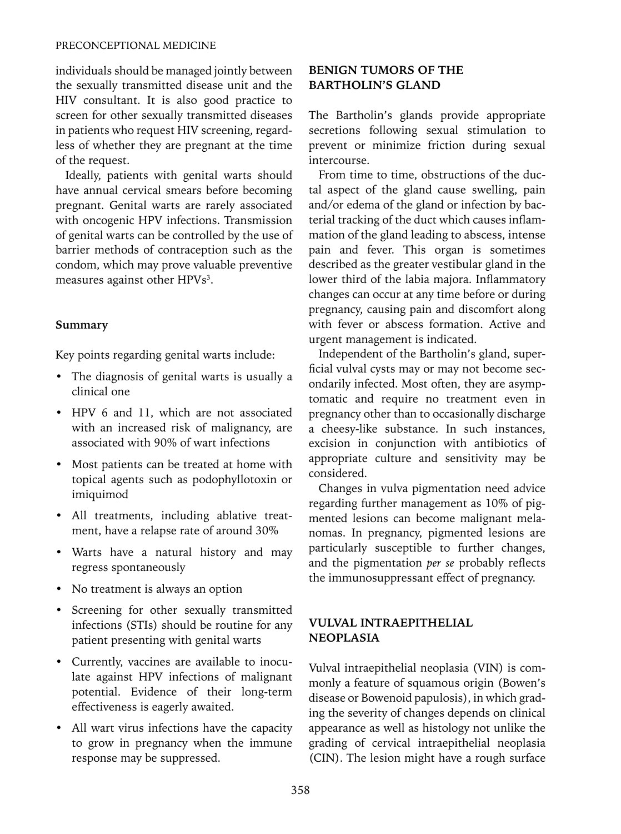#### PRECONCEPTIONAL MEDICINE

individuals should be managed jointly between the sexually transmitted disease unit and the HIV consultant. It is also good practice to screen for other sexually transmitted diseases in patients who request HIV screening, regardless of whether they are pregnant at the time of the request.

Ideally, patients with genital warts should have annual cervical smears before becoming pregnant. Genital warts are rarely associated with oncogenic HPV infections. Transmission of genital warts can be controlled by the use of barrier methods of contraception such as the condom, which may prove valuable preventive measures against other HPVs<sup>3</sup>.

## **Summary**

Key points regarding genital warts include:

- The diagnosis of genital warts is usually a clinical one
- HPV 6 and 11, which are not associated with an increased risk of malignancy, are associated with 90% of wart infections
- Most patients can be treated at home with topical agents such as podophyllotoxin or imiquimod
- All treatments, including ablative treatment, have a relapse rate of around 30%
- Warts have a natural history and may regress spontaneously
- No treatment is always an option
- Screening for other sexually transmitted infections (STIs) should be routine for any patient presenting with genital warts
- Currently, vaccines are available to inoculate against HPV infections of malignant potential. Evidence of their long-term effectiveness is eagerly awaited.
- All wart virus infections have the capacity to grow in pregnancy when the immune response may be suppressed.

## **BENIGN TUMORS OF THE BARTHOLIN'S GLAND**

The Bartholin's glands provide appropriate secretions following sexual stimulation to prevent or minimize friction during sexual intercourse.

From time to time, obstructions of the ductal aspect of the gland cause swelling, pain and/or edema of the gland or infection by bacterial tracking of the duct which causes inflammation of the gland leading to abscess, intense pain and fever. This organ is sometimes described as the greater vestibular gland in the lower third of the labia majora. Inflammatory changes can occur at any time before or during pregnancy, causing pain and discomfort along with fever or abscess formation. Active and urgent management is indicated.

Independent of the Bartholin's gland, superficial vulval cysts may or may not become secondarily infected. Most often, they are asymptomatic and require no treatment even in pregnancy other than to occasionally discharge a cheesy-like substance. In such instances, excision in conjunction with antibiotics of appropriate culture and sensitivity may be considered.

Changes in vulva pigmentation need advice regarding further management as 10% of pigmented lesions can become malignant melanomas. In pregnancy, pigmented lesions are particularly susceptible to further changes, and the pigmentation *per se* probably reflects the immunosuppressant effect of pregnancy.

## **VULVAL INTRAEPITHELIAL NEOPLASIA**

Vulval intraepithelial neoplasia (VIN) is commonly a feature of squamous origin (Bowen's disease or Bowenoid papulosis), in which grading the severity of changes depends on clinical appearance as well as histology not unlike the grading of cervical intraepithelial neoplasia (CIN). The lesion might have a rough surface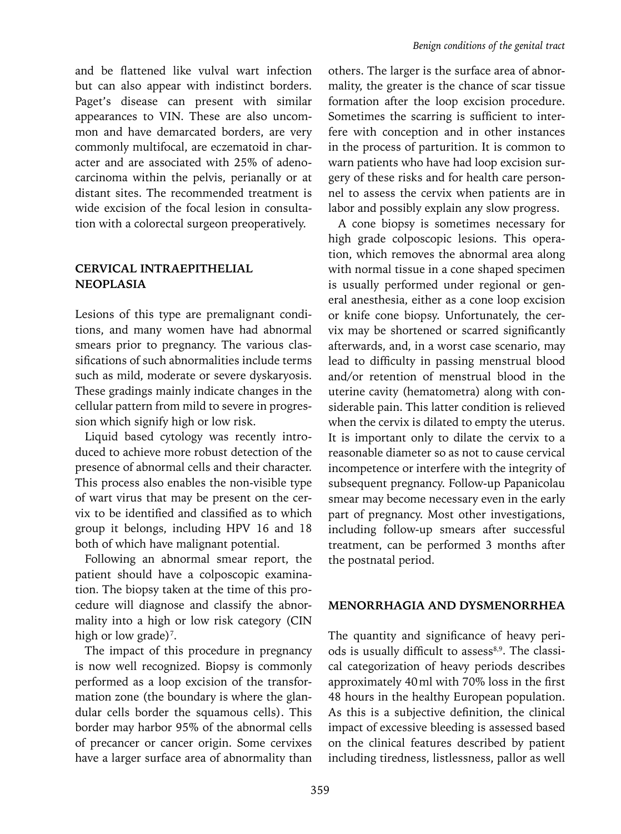and be flattened like vulval wart infection but can also appear with indistinct borders. Paget's disease can present with similar appearances to VIN. These are also uncommon and have demarcated borders, are very commonly multifocal, are eczematoid in character and are associated with 25% of adenocarcinoma within the pelvis, perianally or at distant sites. The recommended treatment is wide excision of the focal lesion in consultation with a colorectal surgeon preoperatively.

## **CERVICAL INTRAEPITHELIAL NEOPLASIA**

Lesions of this type are premalignant conditions, and many women have had abnormal smears prior to pregnancy. The various classifications of such abnormalities include terms such as mild, moderate or severe dyskaryosis. These gradings mainly indicate changes in the cellular pattern from mild to severe in progression which signify high or low risk.

Liquid based cytology was recently introduced to achieve more robust detection of the presence of abnormal cells and their character. This process also enables the non-visible type of wart virus that may be present on the cervix to be identified and classified as to which group it belongs, including HPV 16 and 18 both of which have malignant potential.

Following an abnormal smear report, the patient should have a colposcopic examination. The biopsy taken at the time of this procedure will diagnose and classify the abnormality into a high or low risk category (CIN high or low grade)<sup>7</sup>.

The impact of this procedure in pregnancy is now well recognized. Biopsy is commonly performed as a loop excision of the transformation zone (the boundary is where the glandular cells border the squamous cells). This border may harbor 95% of the abnormal cells of precancer or cancer origin. Some cervixes have a larger surface area of abnormality than

others. The larger is the surface area of abnormality, the greater is the chance of scar tissue formation after the loop excision procedure. Sometimes the scarring is sufficient to interfere with conception and in other instances in the process of parturition. It is common to warn patients who have had loop excision surgery of these risks and for health care personnel to assess the cervix when patients are in labor and possibly explain any slow progress.

A cone biopsy is sometimes necessary for high grade colposcopic lesions. This operation, which removes the abnormal area along with normal tissue in a cone shaped specimen is usually performed under regional or general anesthesia, either as a cone loop excision or knife cone biopsy. Unfortunately, the cervix may be shortened or scarred significantly afterwards, and, in a worst case scenario, may lead to difficulty in passing menstrual blood and/or retention of menstrual blood in the uterine cavity (hematometra) along with considerable pain. This latter condition is relieved when the cervix is dilated to empty the uterus. It is important only to dilate the cervix to a reasonable diameter so as not to cause cervical incompetence or interfere with the integrity of subsequent pregnancy. Follow-up Papanicolau smear may become necessary even in the early part of pregnancy. Most other investigations, including follow-up smears after successful treatment, can be performed 3 months after the postnatal period.

#### **MENORRHAGIA AND DYSMENORRHEA**

The quantity and significance of heavy periods is usually difficult to assess<sup>8,9</sup>. The classical categorization of heavy periods describes approximately 40ml with 70% loss in the first 48 hours in the healthy European population. As this is a subjective definition, the clinical impact of excessive bleeding is assessed based on the clinical features described by patient including tiredness, listlessness, pallor as well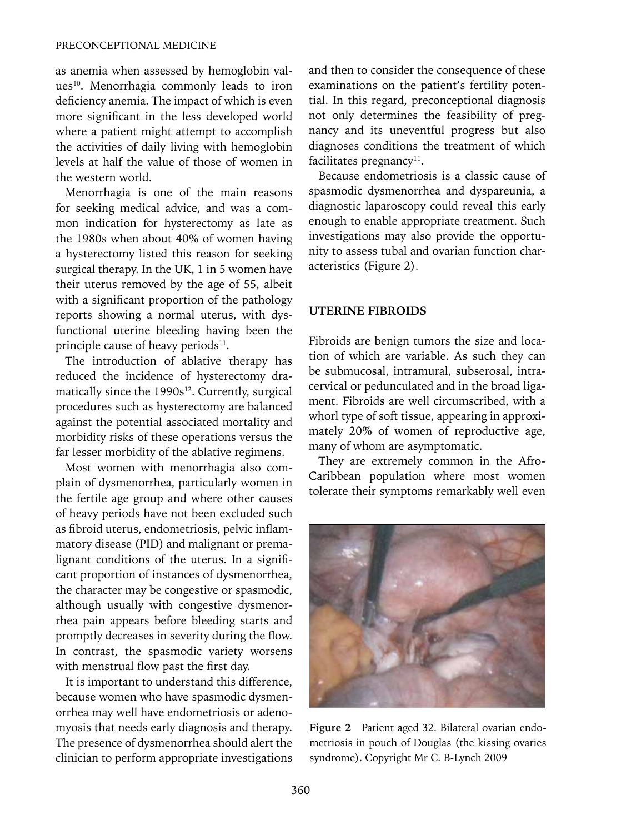as anemia when assessed by hemoglobin values<sup>10</sup>. Menorrhagia commonly leads to iron deficiency anemia. The impact of which is even more significant in the less developed world where a patient might attempt to accomplish the activities of daily living with hemoglobin levels at half the value of those of women in the western world.

Menorrhagia is one of the main reasons for seeking medical advice, and was a common indication for hysterectomy as late as the 1980s when about 40% of women having a hysterectomy listed this reason for seeking surgical therapy. In the UK, 1 in 5 women have their uterus removed by the age of 55, albeit with a significant proportion of the pathology reports showing a normal uterus, with dysfunctional uterine bleeding having been the principle cause of heavy periods<sup>11</sup>.

The introduction of ablative therapy has reduced the incidence of hysterectomy dramatically since the  $1990s^{12}$ . Currently, surgical procedures such as hysterectomy are balanced against the potential associated mortality and morbidity risks of these operations versus the far lesser morbidity of the ablative regimens.

Most women with menorrhagia also complain of dysmenorrhea, particularly women in the fertile age group and where other causes of heavy periods have not been excluded such as fibroid uterus, endometriosis, pelvic inflammatory disease (PID) and malignant or premalignant conditions of the uterus. In a significant proportion of instances of dysmenorrhea, the character may be congestive or spasmodic, although usually with congestive dysmenorrhea pain appears before bleeding starts and promptly decreases in severity during the flow. In contrast, the spasmodic variety worsens with menstrual flow past the first day.

It is important to understand this difference, because women who have spasmodic dysmenorrhea may well have endometriosis or adenomyosis that needs early diagnosis and therapy. The presence of dysmenorrhea should alert the clinician to perform appropriate investigations and then to consider the consequence of these examinations on the patient's fertility potential. In this regard, preconceptional diagnosis not only determines the feasibility of pregnancy and its uneventful progress but also diagnoses conditions the treatment of which facilitates pregnancy<sup>11</sup>.

Because endometriosis is a classic cause of spasmodic dysmenorrhea and dyspareunia, a diagnostic laparoscopy could reveal this early enough to enable appropriate treatment. Such investigations may also provide the opportunity to assess tubal and ovarian function characteristics (Figure 2).

#### **UTERINE FIBROIDS**

Fibroids are benign tumors the size and location of which are variable. As such they can be submucosal, intramural, subserosal, intracervical or pedunculated and in the broad ligament. Fibroids are well circumscribed, with a whorl type of soft tissue, appearing in approximately 20% of women of reproductive age, many of whom are asymptomatic.

They are extremely common in the Afro-Caribbean population where most women tolerate their symptoms remarkably well even



**Figure 2** Patient aged 32. Bilateral ovarian endometriosis in pouch of Douglas (the kissing ovaries syndrome). Copyright Mr C. B-Lynch 2009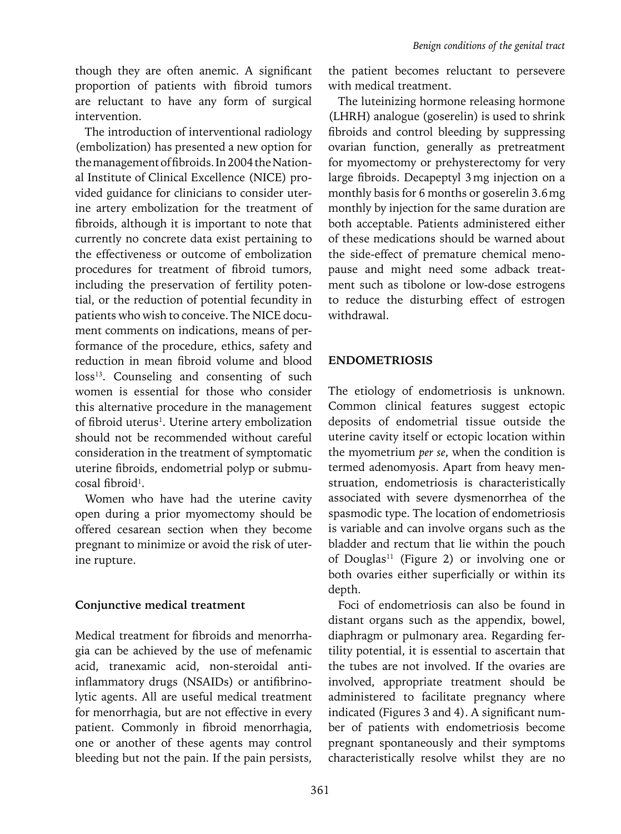though they are often anemic. A significant proportion of patients with fibroid tumors are reluctant to have any form of surgical intervention.

The introduction of interventional radiology (embolization) has presented a new option for the management of fibroids. In 2004 the National Institute of Clinical Excellence (NICE) provided guidance for clinicians to consider uterine artery embolization for the treatment of fibroids, although it is important to note that currently no concrete data exist pertaining to the effectiveness or outcome of embolization procedures for treatment of fibroid tumors, including the preservation of fertility potential, or the reduction of potential fecundity in patients who wish to conceive. The NICE document comments on indications, means of performance of the procedure, ethics, safety and reduction in mean fibroid volume and blood loss<sup>13</sup>. Counseling and consenting of such women is essential for those who consider this alternative procedure in the management of fibroid uterus<sup>1</sup>. Uterine artery embolization should not be recommended without careful consideration in the treatment of symptomatic uterine fibroids, endometrial polyp or submucosal fibroid<sup>1</sup>.

Women who have had the uterine cavity open during a prior myomectomy should be offered cesarean section when they become pregnant to minimize or avoid the risk of uterine rupture.

# **Conjunctive medical treatment**

Medical treatment for fibroids and menorrhagia can be achieved by the use of mefenamic acid, tranexamic acid, non-steroidal antiinflammatory drugs (NSAIDs) or antifibrinolytic agents. All are useful medical treatment for menorrhagia, but are not effective in every patient. Commonly in fibroid menorrhagia, one or another of these agents may control bleeding but not the pain. If the pain persists,

the patient becomes reluctant to persevere with medical treatment.

The luteinizing hormone releasing hormone (LHRH) analogue (goserelin) is used to shrink fibroids and control bleeding by suppressing ovarian function, generally as pretreatment for myomectomy or prehysterectomy for very large fibroids. Decapeptyl 3mg injection on a monthly basis for 6 months or goserelin 3.6mg monthly by injection for the same duration are both acceptable. Patients administered either of these medications should be warned about the side-effect of premature chemical menopause and might need some adback treatment such as tibolone or low-dose estrogens to reduce the disturbing effect of estrogen withdrawal.

# **ENDOMETRIOSIS**

The etiology of endometriosis is unknown. Common clinical features suggest ectopic deposits of endometrial tissue outside the uterine cavity itself or ectopic location within the myometrium *per se*, when the condition is termed adenomyosis. Apart from heavy menstruation, endometriosis is characteristically associated with severe dysmenorrhea of the spasmodic type. The location of endometriosis is variable and can involve organs such as the bladder and rectum that lie within the pouch of Douglas<sup>11</sup> (Figure 2) or involving one or both ovaries either superficially or within its depth.

Foci of endometriosis can also be found in distant organs such as the appendix, bowel, diaphragm or pulmonary area. Regarding fertility potential, it is essential to ascertain that the tubes are not involved. If the ovaries are involved, appropriate treatment should be administered to facilitate pregnancy where indicated (Figures 3 and 4). A significant number of patients with endometriosis become pregnant spontaneously and their symptoms characteristically resolve whilst they are no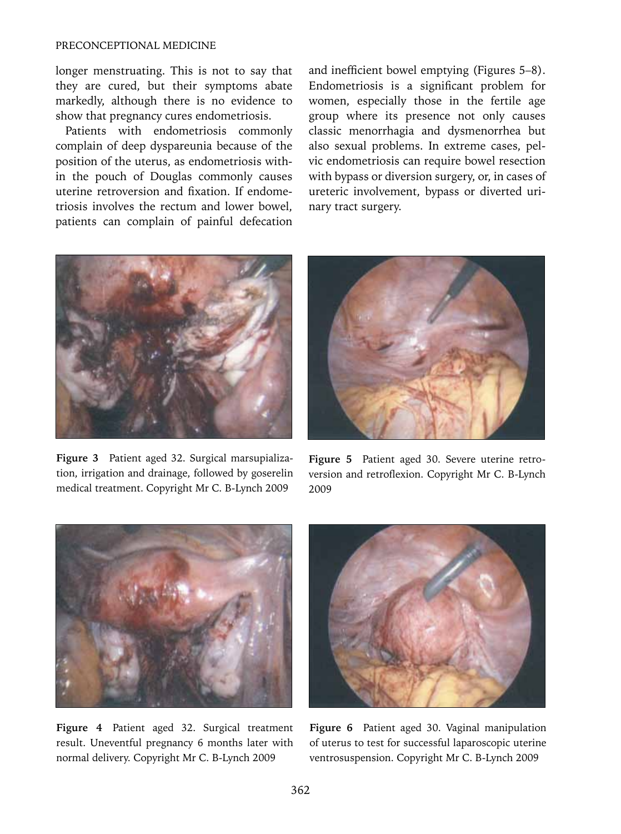#### PRECONCEPTIONAL MEDICINE

longer menstruating. This is not to say that they are cured, but their symptoms abate markedly, although there is no evidence to show that pregnancy cures endometriosis.

Patients with endometriosis commonly complain of deep dyspareunia because of the position of the uterus, as endometriosis within the pouch of Douglas commonly causes uterine retroversion and fixation. If endometriosis involves the rectum and lower bowel, patients can complain of painful defecation and inefficient bowel emptying (Figures 5–8). Endometriosis is a significant problem for women, especially those in the fertile age group where its presence not only causes classic menorrhagia and dysmenorrhea but also sexual problems. In extreme cases, pelvic endometriosis can require bowel resection with bypass or diversion surgery, or, in cases of ureteric involvement, bypass or diverted urinary tract surgery.



**Figure 3** Patient aged 32. Surgical marsupialization, irrigation and drainage, followed by goserelin medical treatment. Copyright Mr C. B-Lynch 2009



**Figure 5** Patient aged 30. Severe uterine retroversion and retroflexion. Copyright Mr C. B-Lynch 2009



**Figure 4** Patient aged 32. Surgical treatment result. Uneventful pregnancy 6 months later with normal delivery. Copyright Mr C. B-Lynch 2009



**Figure 6** Patient aged 30. Vaginal manipulation of uterus to test for successful laparoscopic uterine ventrosuspension. Copyright Mr C. B-Lynch 2009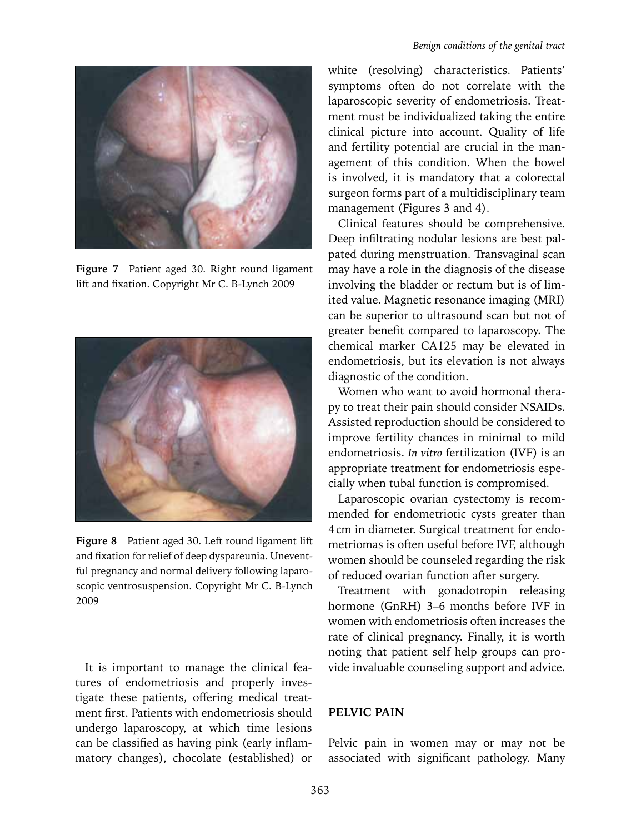

**Figure 7** Patient aged 30. Right round ligament lift and fixation. Copyright Mr C. B-Lynch 2009



**Figure 8** Patient aged 30. Left round ligament lift and fixation for relief of deep dyspareunia. Uneventful pregnancy and normal delivery following laparoscopic ventrosuspension. Copyright Mr C. B-Lynch 2009

It is important to manage the clinical features of endometriosis and properly investigate these patients, offering medical treatment first. Patients with endometriosis should undergo laparoscopy, at which time lesions can be classified as having pink (early inflammatory changes), chocolate (established) or

white (resolving) characteristics. Patients' symptoms often do not correlate with the laparoscopic severity of endometriosis. Treatment must be individualized taking the entire clinical picture into account. Quality of life and fertility potential are crucial in the management of this condition. When the bowel is involved, it is mandatory that a colorectal surgeon forms part of a multidisciplinary team management (Figures 3 and 4).

Clinical features should be comprehensive. Deep infiltrating nodular lesions are best palpated during menstruation. Transvaginal scan may have a role in the diagnosis of the disease involving the bladder or rectum but is of limited value. Magnetic resonance imaging (MRI) can be superior to ultrasound scan but not of greater benefit compared to laparoscopy. The chemical marker CA125 may be elevated in endometriosis, but its elevation is not always diagnostic of the condition.

Women who want to avoid hormonal therapy to treat their pain should consider NSAIDs. Assisted reproduction should be considered to improve fertility chances in minimal to mild endometriosis. *In vitro* fertilization (IVF) is an appropriate treatment for endometriosis especially when tubal function is compromised.

Laparoscopic ovarian cystectomy is recommended for endometriotic cysts greater than 4cm in diameter. Surgical treatment for endometriomas is often useful before IVF, although women should be counseled regarding the risk of reduced ovarian function after surgery.

Treatment with gonadotropin releasing hormone (GnRH) 3–6 months before IVF in women with endometriosis often increases the rate of clinical pregnancy. Finally, it is worth noting that patient self help groups can provide invaluable counseling support and advice.

#### **PELVIC PAIN**

Pelvic pain in women may or may not be associated with significant pathology. Many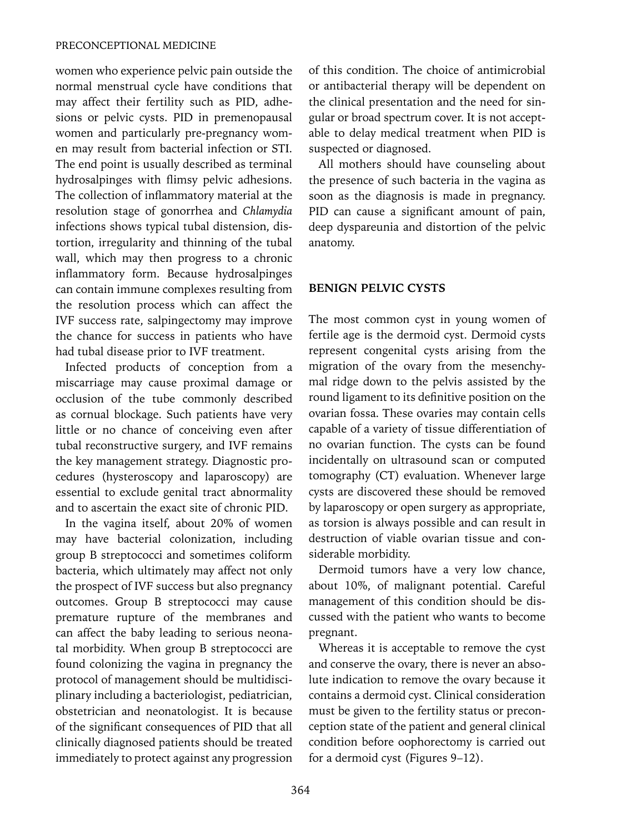women who experience pelvic pain outside the normal menstrual cycle have conditions that may affect their fertility such as PID, adhesions or pelvic cysts. PID in premenopausal women and particularly pre-pregnancy women may result from bacterial infection or STI. The end point is usually described as terminal hydrosalpinges with flimsy pelvic adhesions. The collection of inflammatory material at the resolution stage of gonorrhea and *Chlamydia* infections shows typical tubal distension, distortion, irregularity and thinning of the tubal wall, which may then progress to a chronic inflammatory form. Because hydrosalpinges can contain immune complexes resulting from the resolution process which can affect the IVF success rate, salpingectomy may improve the chance for success in patients who have had tubal disease prior to IVF treatment.

Infected products of conception from a miscarriage may cause proximal damage or occlusion of the tube commonly described as cornual blockage. Such patients have very little or no chance of conceiving even after tubal reconstructive surgery, and IVF remains the key management strategy. Diagnostic procedures (hysteroscopy and laparoscopy) are essential to exclude genital tract abnormality and to ascertain the exact site of chronic PID.

In the vagina itself, about 20% of women may have bacterial colonization, including group B streptococci and sometimes coliform bacteria, which ultimately may affect not only the prospect of IVF success but also pregnancy outcomes. Group B streptococci may cause premature rupture of the membranes and can affect the baby leading to serious neonatal morbidity. When group B streptococci are found colonizing the vagina in pregnancy the protocol of management should be multidisciplinary including a bacteriologist, pediatrician, obstetrician and neonatologist. It is because of the significant consequences of PID that all clinically diagnosed patients should be treated immediately to protect against any progression of this condition. The choice of antimicrobial or antibacterial therapy will be dependent on the clinical presentation and the need for singular or broad spectrum cover. It is not acceptable to delay medical treatment when PID is suspected or diagnosed.

All mothers should have counseling about the presence of such bacteria in the vagina as soon as the diagnosis is made in pregnancy. PID can cause a significant amount of pain, deep dyspareunia and distortion of the pelvic anatomy.

# **BENIGN PELVIC CYSTS**

The most common cyst in young women of fertile age is the dermoid cyst. Dermoid cysts represent congenital cysts arising from the migration of the ovary from the mesenchymal ridge down to the pelvis assisted by the round ligament to its definitive position on the ovarian fossa. These ovaries may contain cells capable of a variety of tissue differentiation of no ovarian function. The cysts can be found incidentally on ultrasound scan or computed tomography (CT) evaluation. Whenever large cysts are discovered these should be removed by laparoscopy or open surgery as appropriate, as torsion is always possible and can result in destruction of viable ovarian tissue and considerable morbidity.

Dermoid tumors have a very low chance, about 10%, of malignant potential. Careful management of this condition should be discussed with the patient who wants to become pregnant.

Whereas it is acceptable to remove the cyst and conserve the ovary, there is never an absolute indication to remove the ovary because it contains a dermoid cyst. Clinical consideration must be given to the fertility status or preconception state of the patient and general clinical condition before oophorectomy is carried out for a dermoid cyst (Figures 9–12).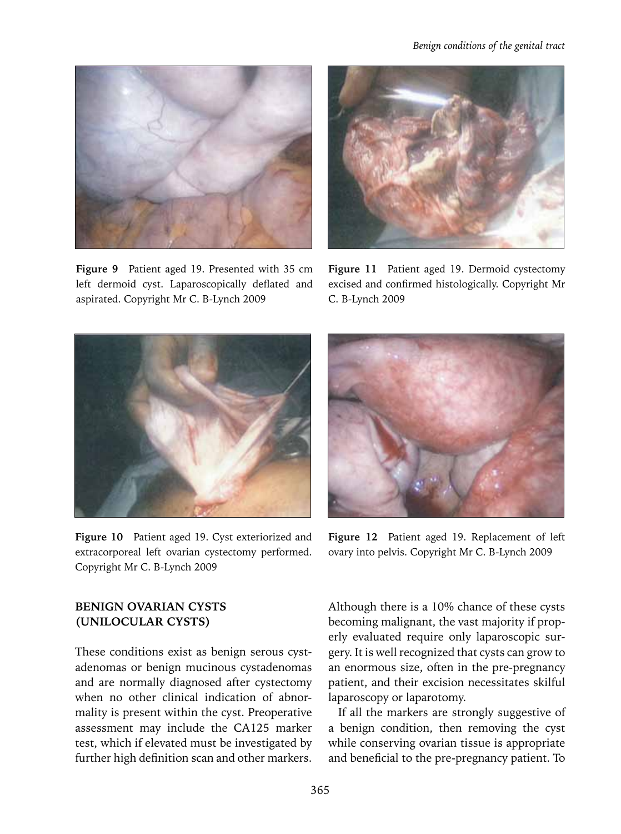

**Figure 9** Patient aged 19. Presented with 35 cm left dermoid cyst. Laparoscopically deflated and aspirated. Copyright Mr C. B-Lynch 2009



**Figure 11** Patient aged 19. Dermoid cystectomy excised and confirmed histologically. Copyright Mr C. B-Lynch 2009



**Figure 10** Patient aged 19. Cyst exteriorized and extracorporeal left ovarian cystectomy performed. Copyright Mr C. B-Lynch 2009



**Figure 12** Patient aged 19. Replacement of left ovary into pelvis. Copyright Mr C. B-Lynch 2009

# **BENIGN OVARIAN CYSTS (UNILOCULAR CYSTS)**

These conditions exist as benign serous cystadenomas or benign mucinous cystadenomas and are normally diagnosed after cystectomy when no other clinical indication of abnormality is present within the cyst. Preoperative assessment may include the CA125 marker test, which if elevated must be investigated by further high definition scan and other markers. Although there is a 10% chance of these cysts becoming malignant, the vast majority if properly evaluated require only laparoscopic surgery. It is well recognized that cysts can grow to an enormous size, often in the pre-pregnancy patient, and their excision necessitates skilful laparoscopy or laparotomy.

If all the markers are strongly suggestive of a benign condition, then removing the cyst while conserving ovarian tissue is appropriate and beneficial to the pre-pregnancy patient. To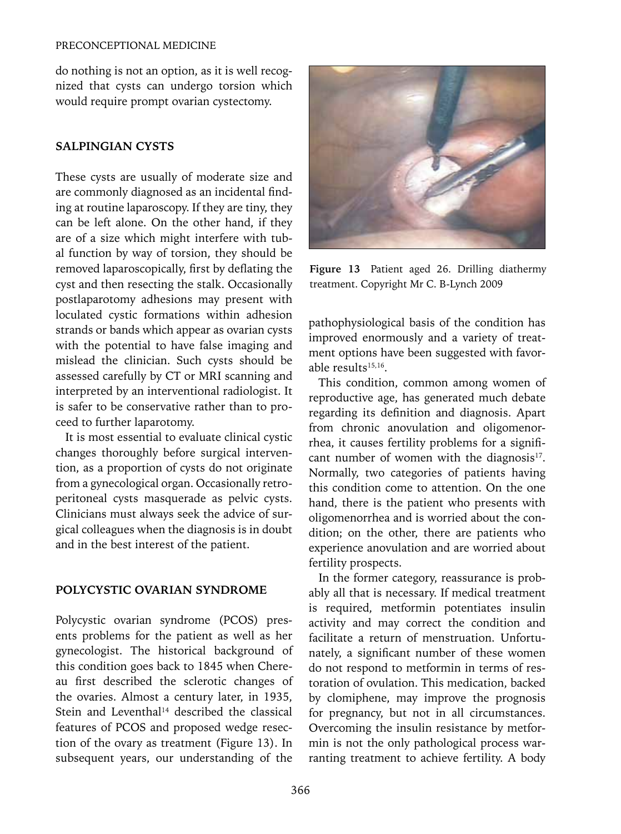do nothing is not an option, as it is well recognized that cysts can undergo torsion which would require prompt ovarian cystectomy.

## **SALPINGIAN CYSTS**

These cysts are usually of moderate size and are commonly diagnosed as an incidental finding at routine laparoscopy. If they are tiny, they can be left alone. On the other hand, if they are of a size which might interfere with tubal function by way of torsion, they should be removed laparoscopically, first by deflating the cyst and then resecting the stalk. Occasionally postlaparotomy adhesions may present with loculated cystic formations within adhesion strands or bands which appear as ovarian cysts with the potential to have false imaging and mislead the clinician. Such cysts should be assessed carefully by CT or MRI scanning and interpreted by an interventional radiologist. It is safer to be conservative rather than to proceed to further laparotomy.

It is most essential to evaluate clinical cystic changes thoroughly before surgical intervention, as a proportion of cysts do not originate from a gynecological organ. Occasionally retroperitoneal cysts masquerade as pelvic cysts. Clinicians must always seek the advice of surgical colleagues when the diagnosis is in doubt and in the best interest of the patient.

## **POLYCYSTIC OVARIAN SYNDROME**

Polycystic ovarian syndrome (PCOS) presents problems for the patient as well as her gynecologist. The historical background of this condition goes back to 1845 when Chereau first described the sclerotic changes of the ovaries. Almost a century later, in 1935, Stein and Leventhal<sup>14</sup> described the classical features of PCOS and proposed wedge resection of the ovary as treatment (Figure 13). In subsequent years, our understanding of the



**Figure 13** Patient aged 26. Drilling diathermy treatment. Copyright Mr C. B-Lynch 2009

pathophysiological basis of the condition has improved enormously and a variety of treatment options have been suggested with favorable results<sup>15,16</sup>.

This condition, common among women of reproductive age, has generated much debate regarding its definition and diagnosis. Apart from chronic anovulation and oligomenorrhea, it causes fertility problems for a significant number of women with the diagnosis $17$ . Normally, two categories of patients having this condition come to attention. On the one hand, there is the patient who presents with oligomenorrhea and is worried about the condition; on the other, there are patients who experience anovulation and are worried about fertility prospects.

In the former category, reassurance is probably all that is necessary. If medical treatment is required, metformin potentiates insulin activity and may correct the condition and facilitate a return of menstruation. Unfortunately, a significant number of these women do not respond to metformin in terms of restoration of ovulation. This medication, backed by clomiphene, may improve the prognosis for pregnancy, but not in all circumstances. Overcoming the insulin resistance by metformin is not the only pathological process warranting treatment to achieve fertility. A body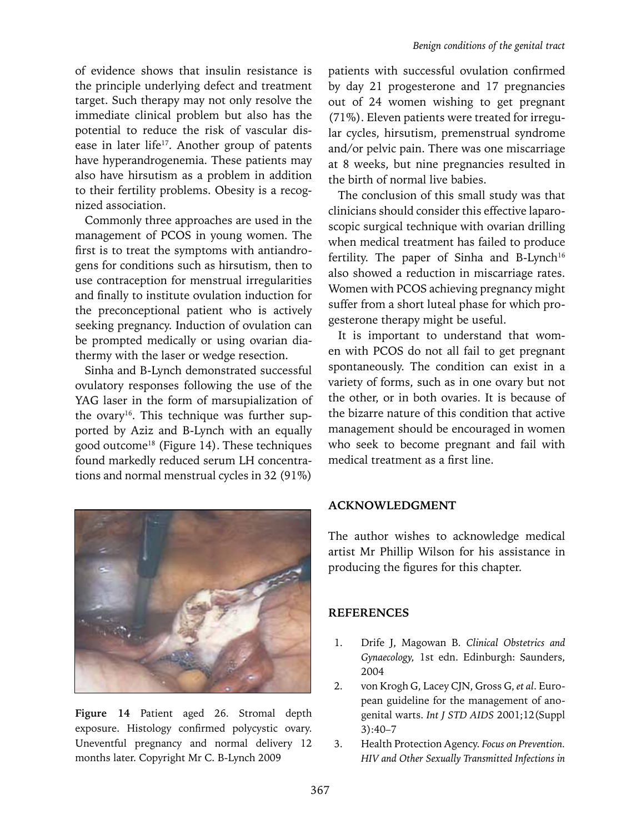of evidence shows that insulin resistance is the principle underlying defect and treatment target. Such therapy may not only resolve the immediate clinical problem but also has the potential to reduce the risk of vascular disease in later life<sup>17</sup>. Another group of patents have hyperandrogenemia. These patients may also have hirsutism as a problem in addition to their fertility problems. Obesity is a recognized association.

Commonly three approaches are used in the management of PCOS in young women. The first is to treat the symptoms with antiandrogens for conditions such as hirsutism, then to use contraception for menstrual irregularities and finally to institute ovulation induction for the preconceptional patient who is actively seeking pregnancy. Induction of ovulation can be prompted medically or using ovarian diathermy with the laser or wedge resection.

Sinha and B-Lynch demonstrated successful ovulatory responses following the use of the YAG laser in the form of marsupialization of the ovary<sup>16</sup>. This technique was further supported by Aziz and B-Lynch with an equally good outcome18 (Figure 14). These techniques found markedly reduced serum LH concentrations and normal menstrual cycles in 32 (91%)



**Figure 14** Patient aged 26. Stromal depth exposure. Histology confirmed polycystic ovary. Uneventful pregnancy and normal delivery 12 months later. Copyright Mr C. B-Lynch 2009

patients with successful ovulation confirmed by day 21 progesterone and 17 pregnancies out of 24 women wishing to get pregnant (71%). Eleven patients were treated for irregular cycles, hirsutism, premenstrual syndrome and/or pelvic pain. There was one miscarriage at 8 weeks, but nine pregnancies resulted in the birth of normal live babies.

The conclusion of this small study was that clinicians should consider this effective laparoscopic surgical technique with ovarian drilling when medical treatment has failed to produce fertility. The paper of Sinha and B-Lynch<sup>16</sup> also showed a reduction in miscarriage rates. Women with PCOS achieving pregnancy might suffer from a short luteal phase for which progesterone therapy might be useful.

It is important to understand that women with PCOS do not all fail to get pregnant spontaneously. The condition can exist in a variety of forms, such as in one ovary but not the other, or in both ovaries. It is because of the bizarre nature of this condition that active management should be encouraged in women who seek to become pregnant and fail with medical treatment as a first line.

# **ACKNOWLEDGMENT**

The author wishes to acknowledge medical artist Mr Phillip Wilson for his assistance in producing the figures for this chapter.

## **References**

- 1. Drife J, Magowan B. *Clinical Obstetrics and Gynaecology,* 1st edn. Edinburgh: Saunders, 2004
- 2. von Krogh G, Lacey CJN, Gross G, *et al*. European guideline for the management of anogenital warts. *Int J STD AIDS* 2001;12(Suppl 3):40–7
- 3. Health Protection Agency. *Focus on Prevention. HIV and Other Sexually Transmitted Infections in*